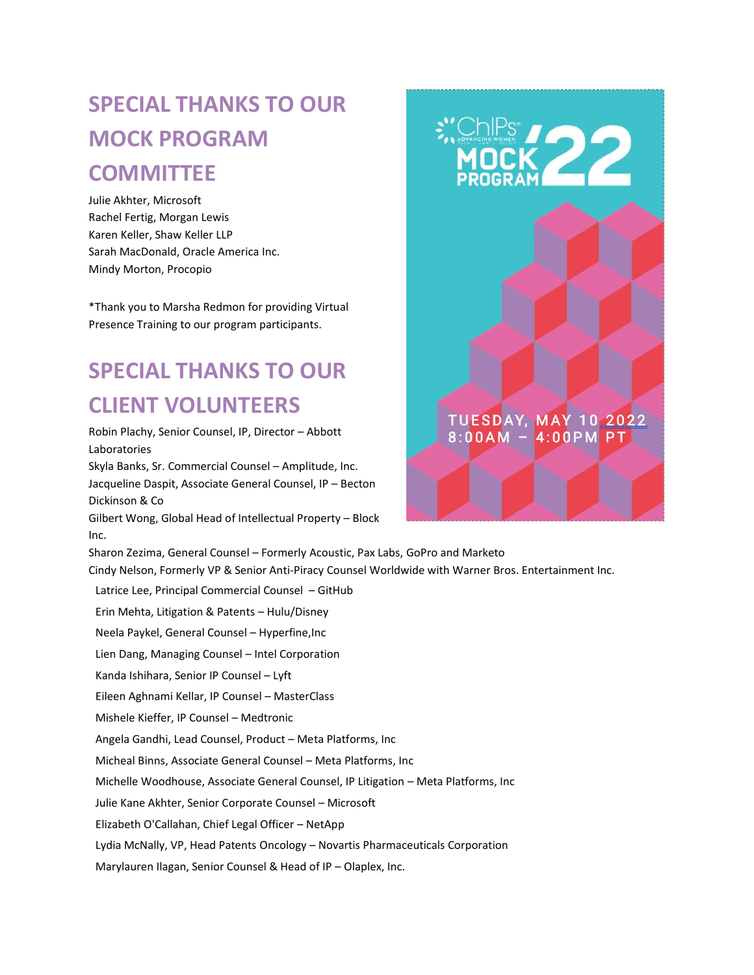## **SPECIAL THANKS TO OUR MOCK PROGRAM COMMITTEE**

Julie Akhter, Microsoft Rachel Fertig, Morgan Lewis Karen Keller, Shaw Keller LLP Sarah MacDonald, Oracle America Inc. Mindy Morton, Procopio

\*Thank you to Marsha Redmon for providing Virtual Presence Training to our program participants.

## **SPECIAL THANKS TO OUR CLIENT VOLUNTEERS**

Robin Plachy, Senior Counsel, IP, Director – Abbott Laboratories Skyla Banks, Sr. Commercial Counsel – Amplitude, Inc. Jacqueline Daspit, Associate General Counsel, IP – Becton Dickinson & Co Gilbert Wong, Global Head of Intellectual Property – Block Inc. Sharon Zezima, General Counsel – Formerly Acoustic, Pax Labs, GoPro and Marketo Cindy Nelson, Formerly VP & Senior Anti-Piracy Counsel Worldwide with Warner Bros. Entertainment Inc. Latrice Lee, Principal Commercial Counsel – GitHub Erin Mehta, Litigation & Patents – Hulu/Disney Neela Paykel, General Counsel – Hyperfine,Inc Lien Dang, Managing Counsel – Intel Corporation Kanda Ishihara, Senior IP Counsel – Lyft Eileen Aghnami Kellar, IP Counsel – MasterClass Mishele Kieffer, IP Counsel – Medtronic Angela Gandhi, Lead Counsel, Product – Meta Platforms, Inc Micheal Binns, Associate General Counsel – Meta Platforms, Inc Michelle Woodhouse, Associate General Counsel, IP Litigation – Meta Platforms, Inc Julie Kane Akhter, Senior Corporate Counsel – Microsoft Elizabeth O'Callahan, Chief Legal Officer – NetApp Lydia McNally, VP, Head Patents Oncology – Novartis Pharmaceuticals Corporation Marylauren Ilagan, Senior Counsel & Head of IP – Olaplex, Inc.

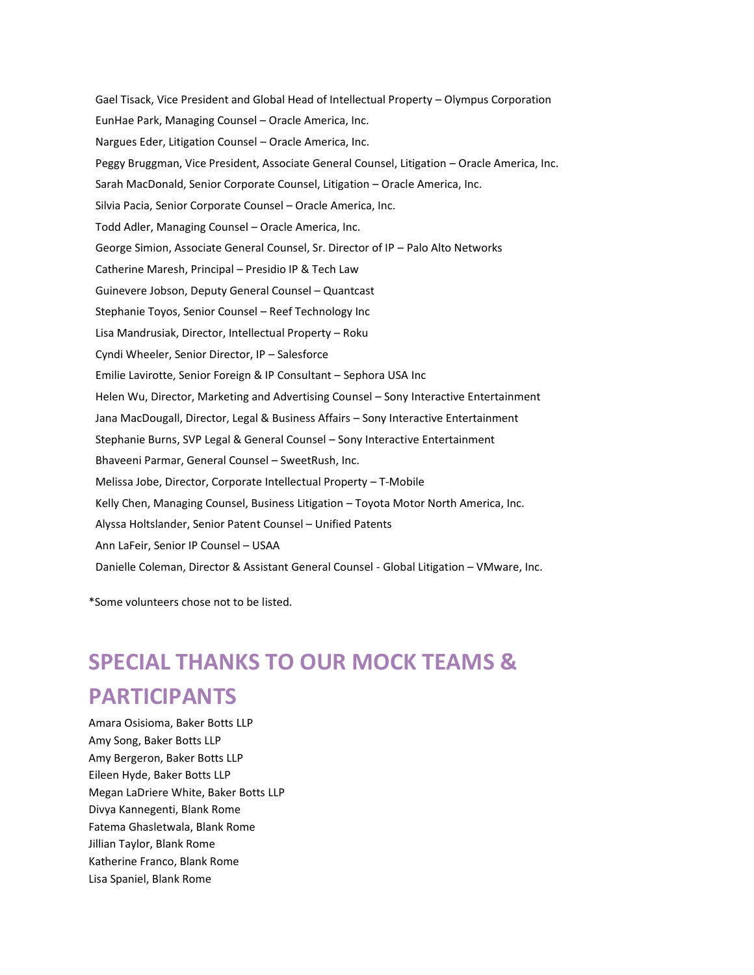Gael Tisack, Vice President and Global Head of Intellectual Property – Olympus Corporation EunHae Park, Managing Counsel – Oracle America, Inc. Nargues Eder, Litigation Counsel – Oracle America, Inc. Peggy Bruggman, Vice President, Associate General Counsel, Litigation – Oracle America, Inc. Sarah MacDonald, Senior Corporate Counsel, Litigation – Oracle America, Inc. Silvia Pacia, Senior Corporate Counsel – Oracle America, Inc. Todd Adler, Managing Counsel – Oracle America, Inc. George Simion, Associate General Counsel, Sr. Director of IP – Palo Alto Networks Catherine Maresh, Principal – Presidio IP & Tech Law Guinevere Jobson, Deputy General Counsel – Quantcast Stephanie Toyos, Senior Counsel – Reef Technology Inc Lisa Mandrusiak, Director, Intellectual Property – Roku Cyndi Wheeler, Senior Director, IP – Salesforce Emilie Lavirotte, Senior Foreign & IP Consultant – Sephora USA Inc Helen Wu, Director, Marketing and Advertising Counsel – Sony Interactive Entertainment Jana MacDougall, Director, Legal & Business Affairs – Sony Interactive Entertainment Stephanie Burns, SVP Legal & General Counsel – Sony Interactive Entertainment Bhaveeni Parmar, General Counsel – SweetRush, Inc. Melissa Jobe, Director, Corporate Intellectual Property – T-Mobile Kelly Chen, Managing Counsel, Business Litigation – Toyota Motor North America, Inc. Alyssa Holtslander, Senior Patent Counsel – Unified Patents Ann LaFeir, Senior IP Counsel – USAA Danielle Coleman, Director & Assistant General Counsel - Global Litigation – VMware, Inc.

\*Some volunteers chose not to be listed.

## **SPECIAL THANKS TO OUR MOCK TEAMS & PARTICIPANTS**

Amara Osisioma, Baker Botts LLP Amy Song, Baker Botts LLP Amy Bergeron, Baker Botts LLP Eileen Hyde, Baker Botts LLP Megan LaDriere White, Baker Botts LLP Divya Kannegenti, Blank Rome Fatema Ghasletwala, Blank Rome Jillian Taylor, Blank Rome Katherine Franco, Blank Rome Lisa Spaniel, Blank Rome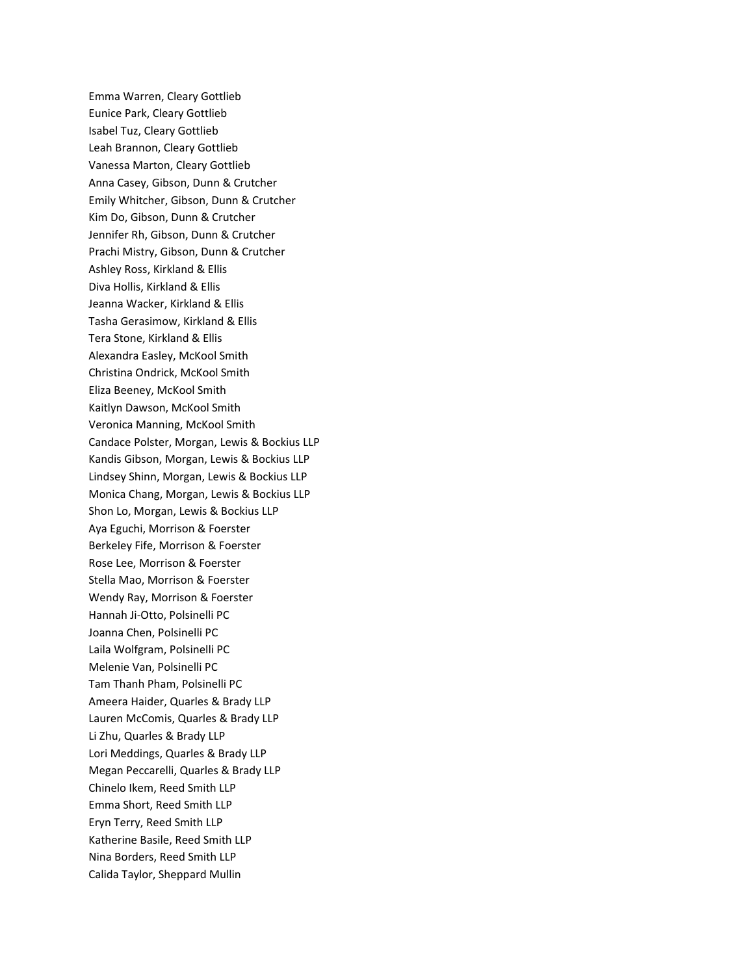Emma Warren, Cleary Gottlieb Eunice Park, Cleary Gottlieb Isabel Tuz, Cleary Gottlieb Leah Brannon, Cleary Gottlieb Vanessa Marton, Cleary Gottlieb Anna Casey, Gibson, Dunn & Crutcher Emily Whitcher, Gibson, Dunn & Crutcher Kim Do, Gibson, Dunn & Crutcher Jennifer Rh, Gibson, Dunn & Crutcher Prachi Mistry, Gibson, Dunn & Crutcher Ashley Ross, Kirkland & Ellis Diva Hollis, Kirkland & Ellis Jeanna Wacker, Kirkland & Ellis Tasha Gerasimow, Kirkland & Ellis Tera Stone, Kirkland & Ellis Alexandra Easley, McKool Smith Christina Ondrick, McKool Smith Eliza Beeney, McKool Smith Kaitlyn Dawson, McKool Smith Veronica Manning, McKool Smith Candace Polster, Morgan, Lewis & Bockius LLP Kandis Gibson, Morgan, Lewis & Bockius LLP Lindsey Shinn, Morgan, Lewis & Bockius LLP Monica Chang, Morgan, Lewis & Bockius LLP Shon Lo, Morgan, Lewis & Bockius LLP Aya Eguchi, Morrison & Foerster Berkeley Fife, Morrison & Foerster Rose Lee, Morrison & Foerster Stella Mao, Morrison & Foerster Wendy Ray, Morrison & Foerster Hannah Ji-Otto, Polsinelli PC Joanna Chen, Polsinelli PC Laila Wolfgram, Polsinelli PC Melenie Van, Polsinelli PC Tam Thanh Pham, Polsinelli PC Ameera Haider, Quarles & Brady LLP Lauren McComis, Quarles & Brady LLP Li Zhu, Quarles & Brady LLP Lori Meddings, Quarles & Brady LLP Megan Peccarelli, Quarles & Brady LLP Chinelo Ikem, Reed Smith LLP Emma Short, Reed Smith LLP Eryn Terry, Reed Smith LLP Katherine Basile, Reed Smith LLP Nina Borders, Reed Smith LLP Calida Taylor, Sheppard Mullin